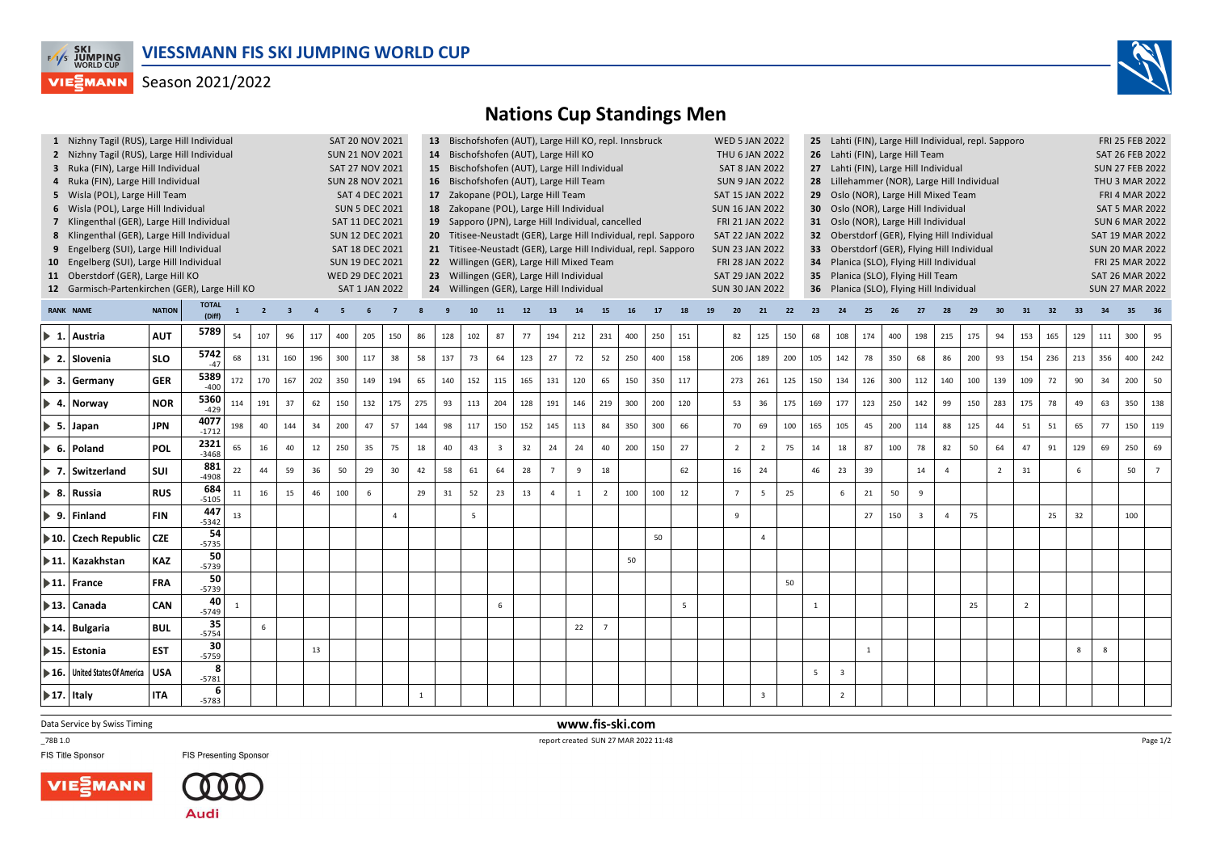

## Season 2021/2022



## **Nations Cup Standings Men**

|                                                                  |                                                                      | 1 Nizhny Tagil (RUS), Large Hill Individual<br><b>SAT 20 NOV 2021</b> |                     |              |                |     |        |     |     |          |              | 13 Bischofshofen (AUT), Large Hill KO, repl. Innsbruck<br><b>WED 5 JAN 2022</b><br>25 Lahti (FIN), Large Hill Individual, repl. Sapporo  |                                                                                                                                          |                                           |     |          |     |                |     |     |                 |    |                                                                    |                |     | FRI 25 FEB 2022        |                                       |                        |     |                |                |     |                |                |                        |                        |     |     |     |  |  |
|------------------------------------------------------------------|----------------------------------------------------------------------|-----------------------------------------------------------------------|---------------------|--------------|----------------|-----|--------|-----|-----|----------|--------------|------------------------------------------------------------------------------------------------------------------------------------------|------------------------------------------------------------------------------------------------------------------------------------------|-------------------------------------------|-----|----------|-----|----------------|-----|-----|-----------------|----|--------------------------------------------------------------------|----------------|-----|------------------------|---------------------------------------|------------------------|-----|----------------|----------------|-----|----------------|----------------|------------------------|------------------------|-----|-----|-----|--|--|
|                                                                  |                                                                      | 2 Nizhny Tagil (RUS), Large Hill Individual<br><b>SUN 21 NOV 2021</b> |                     |              |                |     |        |     |     |          |              |                                                                                                                                          | 14 Bischofshofen (AUT), Large Hill KO<br>THU 6 JAN 2022<br>26 Lahti (FIN), Large Hill Team                                               |                                           |     |          |     |                |     |     |                 |    |                                                                    |                |     |                        | SAT 26 FEB 2022                       |                        |     |                |                |     |                |                |                        |                        |     |     |     |  |  |
|                                                                  | 3 Ruka (FIN), Large Hill Individual<br><b>SAT 27 NOV 2021</b>        |                                                                       |                     |              |                |     |        |     |     |          |              | 15 Bischofshofen (AUT), Large Hill Individual<br><b>SAT 8 JAN 2022</b><br>27 Lahti (FIN), Large Hill Individual                          |                                                                                                                                          |                                           |     |          |     |                |     |     |                 |    |                                                                    |                |     | <b>SUN 27 FEB 2022</b> |                                       |                        |     |                |                |     |                |                |                        |                        |     |     |     |  |  |
|                                                                  | 4 Ruka (FIN), Large Hill Individual<br><b>SUN 28 NOV 2021</b>        |                                                                       |                     |              |                |     |        |     |     |          |              | 16 Bischofshofen (AUT), Large Hill Team<br><b>SUN 9 JAN 2022</b><br>28 Lillehammer (NOR), Large Hill Individual                          |                                                                                                                                          |                                           |     |          |     |                |     |     |                 |    |                                                                    |                |     |                        | <b>THU 3 MAR 2022</b>                 |                        |     |                |                |     |                |                |                        |                        |     |     |     |  |  |
|                                                                  | SAT 4 DEC 2021<br>5 Wisla (POL), Large Hill Team                     |                                                                       |                     |              |                |     |        |     |     |          |              |                                                                                                                                          | 17 Zakopane (POL), Large Hill Team<br>SAT 15 JAN 2022<br>29 Oslo (NOR), Large Hill Mixed Team                                            |                                           |     |          |     |                |     |     |                 |    |                                                                    |                |     |                        | <b>FRI 4 MAR 2022</b>                 |                        |     |                |                |     |                |                |                        |                        |     |     |     |  |  |
|                                                                  | <b>SUN 5 DEC 2021</b><br>6 Wisla (POL), Large Hill Individual        |                                                                       |                     |              |                |     |        |     |     |          |              |                                                                                                                                          | 18 Zakopane (POL), Large Hill Individual<br>30 Oslo (NOR), Large Hill Individual<br><b>SUN 16 JAN 2022</b>                               |                                           |     |          |     |                |     |     |                 |    |                                                                    |                |     |                        | <b>SAT 5 MAR 2022</b>                 |                        |     |                |                |     |                |                |                        |                        |     |     |     |  |  |
|                                                                  | 7 Klingenthal (GER), Large Hill Individual<br>SAT 11 DEC 2021        |                                                                       |                     |              |                |     |        |     |     |          |              |                                                                                                                                          | 19 Sapporo (JPN), Large Hill Individual, cancelled<br>FRI 21 JAN 2022<br>31 Oslo (NOR), Large Hill Individual                            |                                           |     |          |     |                |     |     |                 |    |                                                                    |                |     |                        | <b>SUN 6 MAR 2022</b>                 |                        |     |                |                |     |                |                |                        |                        |     |     |     |  |  |
|                                                                  | 8 Klingenthal (GER), Large Hill Individual<br><b>SUN 12 DEC 2021</b> |                                                                       |                     |              |                |     |        |     |     |          |              |                                                                                                                                          | 20 Titisee-Neustadt (GER), Large Hill Individual, repl. Sapporo<br><b>SAT 22 JAN 2022</b><br>32 Oberstdorf (GER), Flying Hill Individual |                                           |     |          |     |                |     |     |                 |    |                                                                    |                |     |                        |                                       | <b>SAT 19 MAR 2022</b> |     |                |                |     |                |                |                        |                        |     |     |     |  |  |
|                                                                  | 9 Engelberg (SUI), Large Hill Individual<br>SAT 18 DEC 2021          |                                                                       |                     |              |                |     |        |     |     |          |              | 21 Titisee-Neustadt (GER), Large Hill Individual, repl. Sapporo<br><b>SUN 23 JAN 2022</b><br>33 Oberstdorf (GER), Flying Hill Individual |                                                                                                                                          |                                           |     |          |     |                |     |     |                 |    |                                                                    |                |     |                        | <b>SUN 20 MAR 2022</b>                |                        |     |                |                |     |                |                |                        |                        |     |     |     |  |  |
|                                                                  | 10 Engelberg (SUI), Large Hill Individual<br><b>SUN 19 DEC 2021</b>  |                                                                       |                     |              |                |     |        |     |     |          |              |                                                                                                                                          |                                                                                                                                          | 22 Willingen (GER), Large Hill Mixed Team |     |          |     |                |     |     |                 |    | FRI 28 JAN 2022                                                    |                |     | 34                     | Planica (SLO), Flying Hill Individual |                        |     |                |                |     |                |                | FRI 25 MAR 2022        |                        |     |     |     |  |  |
|                                                                  | 11 Oberstdorf (GER), Large Hill KO<br><b>WED 29 DEC 2021</b>         |                                                                       |                     |              |                |     |        |     |     |          |              |                                                                                                                                          |                                                                                                                                          | 23 Willingen (GER), Large Hill Individual |     |          |     |                |     |     |                 |    | SAT 29 JAN 2022                                                    |                |     |                        | 35 Planica (SLO), Flying Hill Team    |                        |     |                |                |     |                |                | <b>SAT 26 MAR 2022</b> |                        |     |     |     |  |  |
| 12 Garmisch-Partenkirchen (GER), Large Hill KO<br>SAT 1 JAN 2022 |                                                                      |                                                                       |                     |              |                |     |        |     |     |          |              | 24 Willingen (GER), Large Hill Individual                                                                                                |                                                                                                                                          |                                           |     |          |     |                |     |     |                 |    | 36 Planica (SLO), Flying Hill Individual<br><b>SUN 30 JAN 2022</b> |                |     |                        |                                       |                        |     |                |                |     |                |                |                        | <b>SUN 27 MAR 2022</b> |     |     |     |  |  |
|                                                                  | <b>RANK NAME</b>                                                     | $\overline{\mathbf{3}}$                                               | $\overline{a}$      | 5            |                |     |        |     |     | 11       | 12           | 13                                                                                                                                       | 14                                                                                                                                       | 15                                        | 16  | 17       | 18  | 19             | 20  | 21  | 22              | 23 | 24                                                                 | 25             |     | 27                     | 28                                    | 29                     | 30  | 31             | 32             | 33  | 34             | 35             |                        |                        |     |     |     |  |  |
|                                                                  |                                                                      | <b>NATION</b>                                                         | (Diff)              | $\mathbf{1}$ | $\overline{2}$ |     |        |     |     |          |              |                                                                                                                                          |                                                                                                                                          |                                           |     |          |     |                |     |     |                 |    |                                                                    |                |     |                        |                                       |                        |     |                |                |     |                |                |                        |                        |     |     |     |  |  |
|                                                                  | $\blacktriangleright$ 1. Austria                                     | <b>AUT</b>                                                            | 5789                | 54           | 107            | 96  | 117    | 400 | 205 | 150      | 86           | 128                                                                                                                                      | 102                                                                                                                                      | 87                                        | 77  | 194      | 212 | 231            | 400 | 250 | 151             |    | 82                                                                 | 125            | 150 | 68                     | 108                                   | 174                    | 400 | 198            | 215            | 175 | 94             | 153            | 165                    | 129                    | 111 | 300 | 95  |  |  |
|                                                                  |                                                                      |                                                                       | 5742                |              |                |     |        |     |     |          |              |                                                                                                                                          |                                                                                                                                          |                                           |     |          |     |                |     |     |                 |    |                                                                    |                |     |                        |                                       |                        |     |                |                |     |                |                |                        |                        |     |     |     |  |  |
|                                                                  | ▶ 2. Slovenia                                                        | <b>SLO</b>                                                            | $-47$               | 68           | 131            | 160 | 196    | 300 | 117 | 38       | 58           | 137                                                                                                                                      | 73                                                                                                                                       | 64                                        | 123 | 27       | 72  | 52             | 250 | 400 | 158             |    | 206                                                                | 189            | 200 | 105                    | 142                                   | 78                     | 350 | 68             | 86             | 200 | 93             | 154            | 236                    | 213                    | 356 | 400 | 242 |  |  |
|                                                                  | $\triangleright$ 3. Germany                                          | <b>GER</b>                                                            | 5389                | 172          | 170            | 167 | 202    | 350 | 149 | 194      | 65           | 140                                                                                                                                      | 152                                                                                                                                      | 115                                       | 165 | 131      | 120 | 65             | 150 | 350 | 117             |    | 273                                                                | 261            | 125 | 150                    | 134                                   | 126                    | 300 | 112            | 140            | 100 | 139            | 109            | 72                     | 90                     | 34  | 200 | 50  |  |  |
|                                                                  |                                                                      |                                                                       | $-400$              |              |                |     |        |     |     |          |              |                                                                                                                                          |                                                                                                                                          |                                           |     |          |     |                |     |     |                 |    |                                                                    |                |     |                        |                                       |                        |     |                |                |     |                |                |                        |                        |     |     |     |  |  |
|                                                                  | $\blacktriangleright$ 4. Norway                                      | <b>NOR</b>                                                            | 5360<br>$-429$      | 114          | 191            | 37  | 62     | 150 | 132 | 175      | 275          | 93                                                                                                                                       | 113                                                                                                                                      | 204                                       | 128 | 191      | 146 | 219            | 300 | 200 | 120             |    | 53                                                                 | 36             | 175 | 169                    | 177                                   | 123                    | 250 | 142            | 99             | 150 | 283            | 175            | 78                     | 49                     | 63  | 350 | 138 |  |  |
|                                                                  |                                                                      |                                                                       | 4077                |              |                |     |        |     |     |          |              |                                                                                                                                          |                                                                                                                                          |                                           |     |          |     |                |     |     |                 |    |                                                                    |                |     |                        |                                       |                        |     |                |                |     | 44             |                |                        |                        |     |     |     |  |  |
|                                                                  | $\triangleright$ 5. Japan                                            | <b>JPN</b>                                                            | $-1712$             | 198          | 40             | 144 | 34     | 200 | 47  | 57       | 144          | 98                                                                                                                                       | 117                                                                                                                                      | 150                                       | 152 | 145      | 113 | 84             | 350 | 300 | 66              |    | 70                                                                 | 69             | 100 | 165                    | 105                                   | 45                     | 200 | 114            | 88             | 125 |                | 51             | 51                     | 65                     | 77  | 150 | 119 |  |  |
|                                                                  | $\triangleright$ 6. Poland                                           | POL                                                                   | 2321                | 65           | 16             | 40  | $12\,$ | 250 | 35  | 75       | 18           | 40                                                                                                                                       | 43                                                                                                                                       | $\overline{3}$                            | 32  | 24       | 24  | 40             | 200 | 150 | 27              |    | $\overline{2}$                                                     | $\overline{2}$ | 75  | 14                     | 18                                    | 87                     | 100 | 78             | 82             | 50  | 64             | 47             | 91                     | 129                    | 69  | 250 | 69  |  |  |
|                                                                  |                                                                      |                                                                       | $-3468$<br>881      |              |                |     |        |     |     |          |              |                                                                                                                                          |                                                                                                                                          |                                           |     |          |     |                |     |     |                 |    |                                                                    |                |     |                        |                                       |                        |     |                |                |     |                |                |                        |                        |     |     |     |  |  |
|                                                                  | $\triangleright$ 7. Switzerland                                      | SUI                                                                   | $-4908$             | 22           | 44             | 59  | 36     | 50  | 29  | 30       | 42           | 58                                                                                                                                       | 61                                                                                                                                       | 64                                        | 28  |          | 9   | 18             |     |     | 62              |    | 16                                                                 | 24             |     | 46                     | 23                                    | 39                     |     | 14             | $\Delta$       |     | $\overline{2}$ | 31             |                        | 6                      |     | 50  |     |  |  |
|                                                                  | 8. Russia                                                            | <b>RUS</b>                                                            | 684                 | $11\,$       | 16             | 15  | 46     | 100 | 6   |          | 29           | 31                                                                                                                                       | 52                                                                                                                                       | 23                                        | 13  | $\Delta$ | 1   | $\overline{2}$ | 100 | 100 | 12              |    | $\overline{7}$                                                     | $\overline{5}$ | 25  |                        | 6                                     | 21                     | 50  | $\overline{9}$ |                |     |                |                |                        |                        |     |     |     |  |  |
|                                                                  |                                                                      |                                                                       | $-5105$             |              |                |     |        |     |     |          |              |                                                                                                                                          |                                                                                                                                          |                                           |     |          |     |                |     |     |                 |    |                                                                    |                |     |                        |                                       |                        |     |                |                |     |                |                |                        |                        |     |     |     |  |  |
|                                                                  | 9. Finland                                                           | <b>FIN</b>                                                            | 447<br>$-5342$      | 13           |                |     |        |     |     | $\Delta$ |              |                                                                                                                                          | 5                                                                                                                                        |                                           |     |          |     |                |     |     |                 |    | 9                                                                  |                |     |                        |                                       | 27                     | 150 | $\overline{3}$ | $\overline{a}$ | 75  |                |                | 25                     | 32                     |     | 100 |     |  |  |
|                                                                  |                                                                      |                                                                       | 54                  |              |                |     |        |     |     |          |              |                                                                                                                                          |                                                                                                                                          |                                           |     |          |     |                |     |     |                 |    |                                                                    |                |     |                        |                                       |                        |     |                |                |     |                |                |                        |                        |     |     |     |  |  |
|                                                                  | $\blacktriangleright$ 10. $\blacktriangleright$ Czech Republic       | <b>CZE</b>                                                            | $-5735$             |              |                |     |        |     |     |          |              |                                                                                                                                          |                                                                                                                                          |                                           |     |          |     |                |     | 50  |                 |    |                                                                    | $\overline{4}$ |     |                        |                                       |                        |     |                |                |     |                |                |                        |                        |     |     |     |  |  |
|                                                                  | 11. Kazakhstan                                                       | <b>KAZ</b>                                                            | 50                  |              |                |     |        |     |     |          |              |                                                                                                                                          |                                                                                                                                          |                                           |     |          |     |                | 50  |     |                 |    |                                                                    |                |     |                        |                                       |                        |     |                |                |     |                |                |                        |                        |     |     |     |  |  |
|                                                                  |                                                                      |                                                                       | $-5739$<br>50       |              |                |     |        |     |     |          |              |                                                                                                                                          |                                                                                                                                          |                                           |     |          |     |                |     |     |                 |    |                                                                    |                |     |                        |                                       |                        |     |                |                |     |                |                |                        |                        |     |     |     |  |  |
|                                                                  | $\blacktriangleright$ 11. France                                     | <b>FRA</b>                                                            | $-5739$             |              |                |     |        |     |     |          |              |                                                                                                                                          |                                                                                                                                          |                                           |     |          |     |                |     |     |                 |    |                                                                    |                | 50  |                        |                                       |                        |     |                |                |     |                |                |                        |                        |     |     |     |  |  |
|                                                                  | $\blacktriangleright$ 13.   Canada                                   | CAN                                                                   | 40                  | $\mathbf{1}$ |                |     |        |     |     |          |              |                                                                                                                                          |                                                                                                                                          | 6                                         |     |          |     |                |     |     | $5\overline{5}$ |    |                                                                    |                |     | $\mathbf{1}$           |                                       |                        |     |                |                | 25  |                | $\overline{2}$ |                        |                        |     |     |     |  |  |
|                                                                  |                                                                      |                                                                       | $-5749$             |              |                |     |        |     |     |          |              |                                                                                                                                          |                                                                                                                                          |                                           |     |          |     |                |     |     |                 |    |                                                                    |                |     |                        |                                       |                        |     |                |                |     |                |                |                        |                        |     |     |     |  |  |
|                                                                  | ▶ 14.   Bulgaria                                                     | <b>BUL</b>                                                            | 35<br>$-5754$       |              | 6              |     |        |     |     |          |              |                                                                                                                                          |                                                                                                                                          |                                           |     |          | 22  | $\overline{7}$ |     |     |                 |    |                                                                    |                |     |                        |                                       |                        |     |                |                |     |                |                |                        |                        |     |     |     |  |  |
|                                                                  |                                                                      |                                                                       | 30 <sup>1</sup>     |              |                |     |        |     |     |          |              |                                                                                                                                          |                                                                                                                                          |                                           |     |          |     |                |     |     |                 |    |                                                                    |                |     |                        |                                       |                        |     |                |                |     |                |                |                        |                        |     |     |     |  |  |
|                                                                  | ▶ 15. Estonia                                                        | <b>EST</b>                                                            | $-5759$             |              |                |     | 13     |     |     |          |              |                                                                                                                                          |                                                                                                                                          |                                           |     |          |     |                |     |     |                 |    |                                                                    |                |     |                        |                                       | <sup>1</sup>           |     |                |                |     |                |                |                        | 8                      | 8   |     |     |  |  |
| $\blacktriangleright$ 16.                                        | <b>United States Of America</b>                                      | <b>USA</b>                                                            | 8                   |              |                |     |        |     |     |          |              |                                                                                                                                          |                                                                                                                                          |                                           |     |          |     |                |     |     |                 |    |                                                                    |                |     | 5                      | $\overline{\mathbf{3}}$               |                        |     |                |                |     |                |                |                        |                        |     |     |     |  |  |
|                                                                  |                                                                      |                                                                       | $-5781$             |              |                |     |        |     |     |          |              |                                                                                                                                          |                                                                                                                                          |                                           |     |          |     |                |     |     |                 |    |                                                                    |                |     |                        |                                       |                        |     |                |                |     |                |                |                        |                        |     |     |     |  |  |
|                                                                  | $\blacktriangleright$ 17. Italy                                      | <b>ITA</b>                                                            | $6 \mid$<br>$-5783$ |              |                |     |        |     |     |          | $\mathbf{1}$ |                                                                                                                                          |                                                                                                                                          |                                           |     |          |     |                |     |     |                 |    |                                                                    | $\overline{3}$ |     |                        | $\overline{2}$                        |                        |     |                |                |     |                |                |                        |                        |     |     |     |  |  |
|                                                                  |                                                                      |                                                                       |                     |              |                |     |        |     |     |          |              |                                                                                                                                          |                                                                                                                                          |                                           |     |          |     |                |     |     |                 |    |                                                                    |                |     |                        |                                       |                        |     |                |                |     |                |                |                        |                        |     |     |     |  |  |

Data Service by Swiss Timing

\_78B 1.0

FIS Title Sponsor





**FIS Presenting Sponsor** 

 **www.fis-ski.com**report created SUN 27 MAR 2022 11:48

Page 1/2